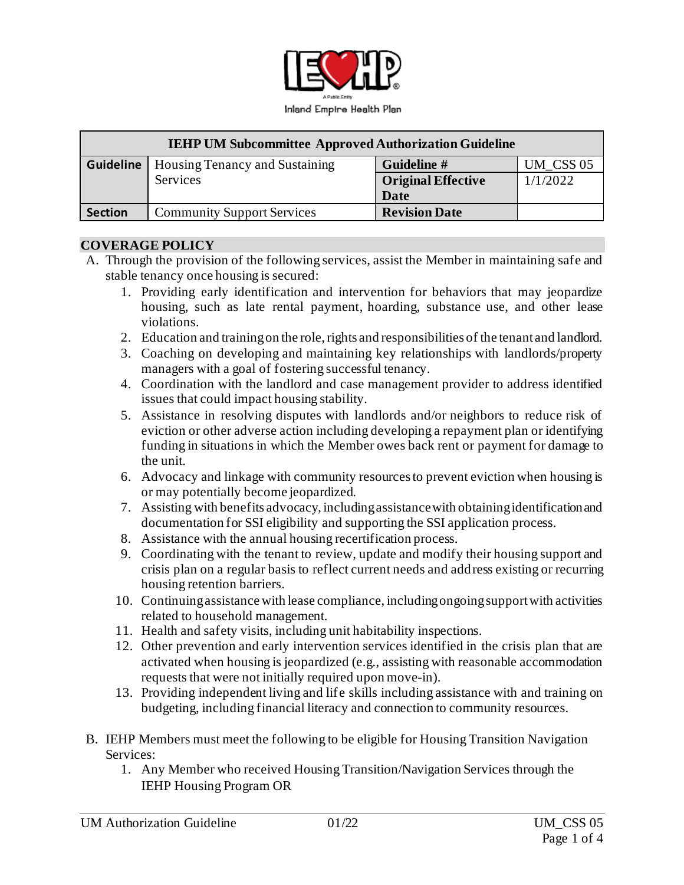

| <b>IEHP UM Subcommittee Approved Authorization Guideline</b> |                                       |                           |           |
|--------------------------------------------------------------|---------------------------------------|---------------------------|-----------|
| <b>Guideline</b>                                             | <b>Housing Tenancy and Sustaining</b> | Guideline #               | UM CSS 05 |
|                                                              | Services                              | <b>Original Effective</b> | 1/1/2022  |
|                                                              |                                       | Date                      |           |
| <b>Section</b>                                               | <b>Community Support Services</b>     | <b>Revision Date</b>      |           |

#### **COVERAGE POLICY**

- A. Through the provision of the following services, assist the Member in maintaining safe and stable tenancy once housing is secured:
	- 1. Providing early identification and intervention for behaviors that may jeopardize housing, such as late rental payment, hoarding, substance use, and other lease violations.
	- 2. Education and training on the role, rights and responsibilities of the tenant and landlord.
	- 3. Coaching on developing and maintaining key relationships with landlords/property managers with a goal of fostering successful tenancy.
	- 4. Coordination with the landlord and case management provider to address identified issues that could impact housing stability.
	- 5. Assistance in resolving disputes with landlords and/or neighbors to reduce risk of eviction or other adverse action including developing a repayment plan or identifying funding in situations in which the Member owes back rent or payment for damage to the unit.
	- 6. Advocacy and linkage with community resources to prevent eviction when housing is or may potentially become jeopardized.
	- 7. Assisting with benefits advocacy, including assistance with obtaining identification and documentation for SSI eligibility and supporting the SSI application process.
	- 8. Assistance with the annual housing recertification process.
	- 9. Coordinating with the tenant to review, update and modify their housing support and crisis plan on a regular basis to reflect current needs and address existing or recurring housing retention barriers.
	- 10. Continuing assistance with lease compliance, including ongoing support with activities related to household management.
	- 11. Health and safety visits, including unit habitability inspections.
	- 12. Other prevention and early intervention services identified in the crisis plan that are activated when housing is jeopardized (e.g., assisting with reasonable accommodation requests that were not initially required upon move-in).
	- 13. Providing independent living and life skills including assistance with and training on budgeting, including financial literacy and connection to community resources.
- B. IEHP Members must meet the following to be eligible for Housing Transition Navigation Services:
	- 1. Any Member who received Housing Transition/Navigation Services through the IEHP Housing Program OR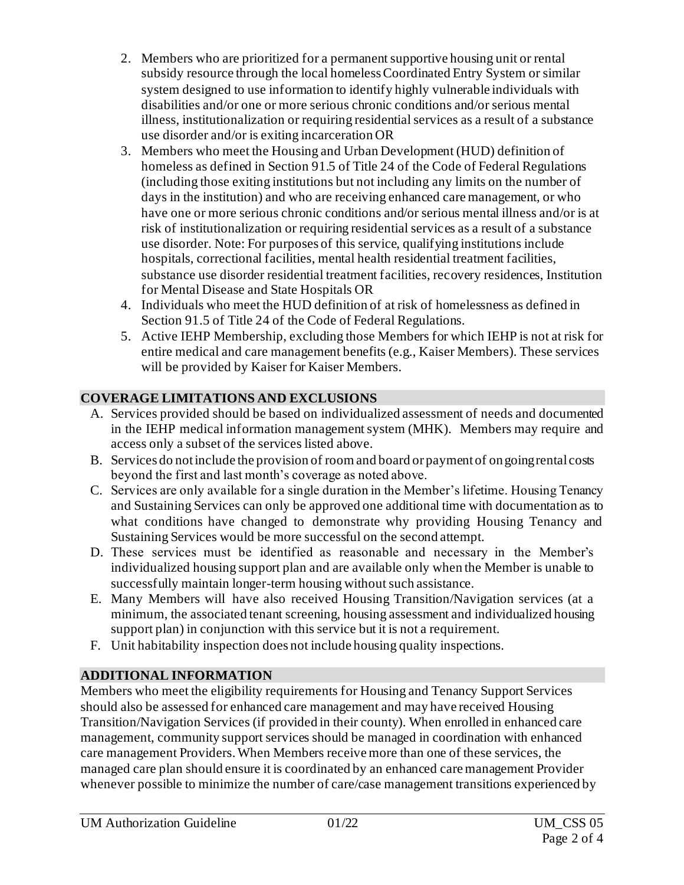- 2. Members who are prioritized for a permanent supportive housing unit or rental subsidy resource through the local homeless Coordinated Entry System or similar system designed to use information to identify highly vulnerable individuals with disabilities and/or one or more serious chronic conditions and/or serious mental illness, institutionalization or requiring residential services as a result of a substance use disorder and/or is exiting incarceration OR
- 3. Members who meet the Housing and Urban Development (HUD) definition of homeless as defined in Section 91.5 of Title 24 of the Code of Federal Regulations (including those exiting institutions but not including any limits on the number of days in the institution) and who are receiving enhanced care management, or who have one or more serious chronic conditions and/or serious mental illness and/or is at risk of institutionalization or requiring residential services as a result of a substance use disorder. Note: For purposes of this service, qualifying institutions include hospitals, correctional facilities, mental health residential treatment facilities, substance use disorder residential treatment facilities, recovery residences, Institution for Mental Disease and State Hospitals OR
- 4. Individuals who meet the HUD definition of at risk of homelessness as defined in Section 91.5 of Title 24 of the Code of Federal Regulations.
- 5. Active IEHP Membership, excluding those Members for which IEHP is not at risk for entire medical and care management benefits (e.g., Kaiser Members). These services will be provided by Kaiser for Kaiser Members.

## **COVERAGE LIMITATIONS AND EXCLUSIONS**

- A. Services provided should be based on individualized assessment of needs and documented in the IEHP medical information management system (MHK). Members may require and access only a subset of the services listed above.
- B. Services do not include the provision of room and board or payment of ongoing rental costs beyond the first and last month's coverage as noted above.
- C. Services are only available for a single duration in the Member's lifetime. Housing Tenancy and Sustaining Services can only be approved one additional time with documentation as to what conditions have changed to demonstrate why providing Housing Tenancy and Sustaining Services would be more successful on the second attempt.
- D. These services must be identified as reasonable and necessary in the Member's individualized housing support plan and are available only when the Member is unable to successfully maintain longer-term housing without such assistance.
- E. Many Members will have also received Housing Transition/Navigation services (at a minimum, the associated tenant screening, housing assessment and individualized housing support plan) in conjunction with this service but it is not a requirement.
- F. Unit habitability inspection does not include housing quality inspections.

# **ADDITIONAL INFORMATION**

Members who meet the eligibility requirements for Housing and Tenancy Support Services should also be assessed for enhanced care management and may have received Housing Transition/Navigation Services (if provided in their county). When enrolled in enhanced care management, community support services should be managed in coordination with enhanced care management Providers. When Members receive more than one of these services, the managed care plan should ensure it is coordinated by an enhanced care management Provider whenever possible to minimize the number of care/case management transitions experienced by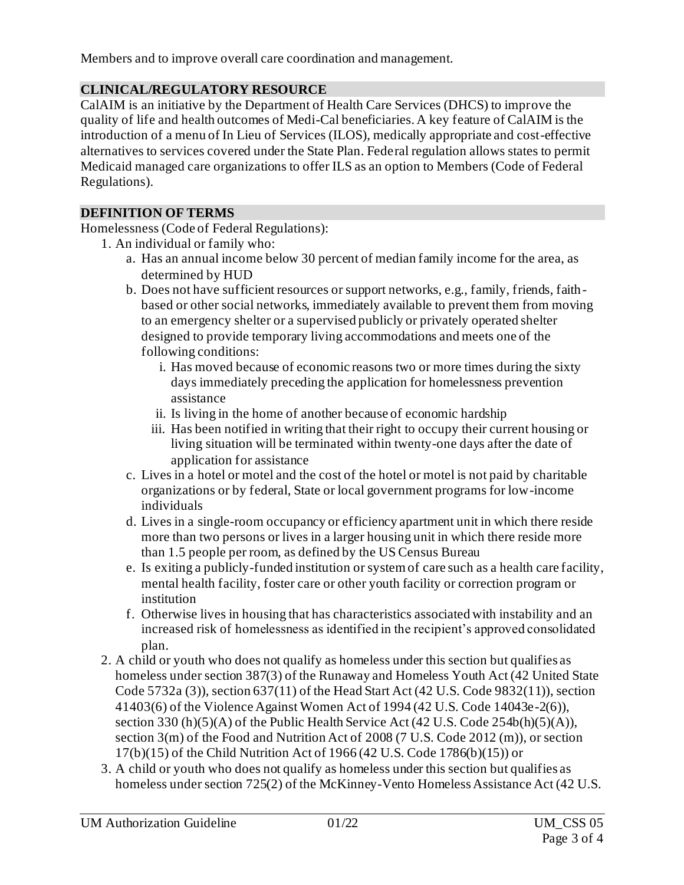Members and to improve overall care coordination and management.

## **CLINICAL/REGULATORY RESOURCE**

CalAIM is an initiative by the Department of Health Care Services (DHCS) to improve the quality of life and health outcomes of Medi-Cal beneficiaries. A key feature of CalAIM is the introduction of a menu of In Lieu of Services (ILOS), medically appropriate and cost-effective alternatives to services covered under the State Plan. Federal regulation allows states to permit Medicaid managed care organizations to offer ILS as an option to Members (Code of Federal Regulations).

## **DEFINITION OF TERMS**

Homelessness (Code of Federal Regulations):

- 1. An individual or family who:
	- a. Has an annual income below 30 percent of median family income for the area, as determined by HUD
	- b. Does not have sufficient resources or support networks, e.g., family, friends, faithbased or other social networks, immediately available to prevent them from moving to an emergency shelter or a supervised publicly or privately operated shelter designed to provide temporary living accommodations and meets one of the following conditions:
		- i. Has moved because of economic reasons two or more times during the sixty days immediately preceding the application for homelessness prevention assistance
		- ii. Is living in the home of another because of economic hardship
		- iii. Has been notified in writing that their right to occupy their current housing or living situation will be terminated within twenty-one days after the date of application for assistance
	- c. Lives in a hotel or motel and the cost of the hotel or motel is not paid by charitable organizations or by federal, State or local government programs for low-income individuals
	- d. Lives in a single-room occupancy or efficiency apartment unit in which there reside more than two persons or lives in a larger housing unit in which there reside more than 1.5 people per room, as defined by the US Census Bureau
	- e. Is exiting a publicly-funded institution or system of care such as a health care facility, mental health facility, foster care or other youth facility or correction program or institution
	- f. Otherwise lives in housing that has characteristics associated with instability and an increased risk of homelessness as identified in the recipient's approved consolidated plan.
- 2. A child or youth who does not qualify as homeless under this section but qualifies as homeless under section 387(3) of the Runaway and Homeless Youth Act (42 United State Code 5732a (3)), section 637(11) of the Head Start Act (42 U.S. Code 9832(11)), section 41403(6) of the Violence Against Women Act of 1994 (42 U.S. Code 14043e-2(6)), section 330 (h)(5)(A) of the Public Health Service Act (42 U.S. Code 254b(h)(5)(A)), section 3(m) of the Food and Nutrition Act of 2008 (7 U.S. Code 2012 (m)), or section 17(b)(15) of the Child Nutrition Act of 1966 (42 U.S. Code 1786(b)(15)) or
- 3. A child or youth who does not qualify as homeless under this section but qualifies as homeless under section 725(2) of the McKinney-Vento Homeless Assistance Act (42 U.S.